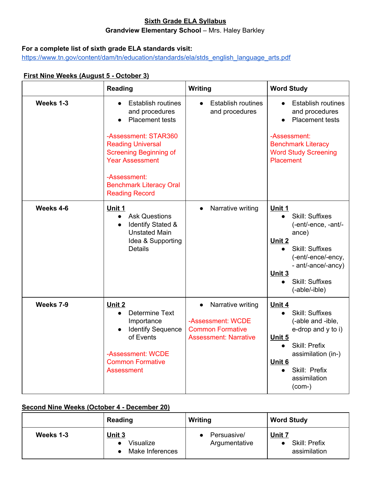### **Sixth Grade ELA Syllabus Grandview Elementary School** – Mrs. Haley Barkley

#### **For a complete list of sixth grade ELA standards visit:**

[https://www.tn.gov/content/dam/tn/education/standards/ela/stds\\_english\\_language\\_arts.pdf](https://www.tn.gov/content/dam/tn/education/standards/ela/stds_english_language_arts.pdf)

#### **First Nine Weeks (August 5 - October 3)**

|           | <b>Reading</b>                                                                                                                                                                                                                                           | Writing                                                                                                        | <b>Word Study</b>                                                                                                                                                                                                                            |
|-----------|----------------------------------------------------------------------------------------------------------------------------------------------------------------------------------------------------------------------------------------------------------|----------------------------------------------------------------------------------------------------------------|----------------------------------------------------------------------------------------------------------------------------------------------------------------------------------------------------------------------------------------------|
| Weeks 1-3 | <b>Establish routines</b><br>and procedures<br>Placement tests<br>-Assessment: STAR360<br><b>Reading Universal</b><br><b>Screening Beginning of</b><br><b>Year Assessment</b><br>-Assessment:<br><b>Benchmark Literacy Oral</b><br><b>Reading Record</b> | <b>Establish routines</b><br>and procedures                                                                    | <b>Establish routines</b><br>and procedures<br><b>Placement tests</b><br>$\bullet$<br>-Assessment:<br><b>Benchmark Literacy</b><br><b>Word Study Screening</b><br><b>Placement</b>                                                           |
| Weeks 4-6 | Unit 1<br><b>Ask Questions</b><br>$\bullet$<br><b>Identify Stated &amp;</b><br>$\bullet$<br><b>Unstated Main</b><br>Idea & Supporting<br><b>Details</b>                                                                                                  | Narrative writing<br>$\bullet$                                                                                 | Unit 1<br><b>Skill: Suffixes</b><br>$\bullet$<br>(-ent/-ence, -ant/-<br>ance)<br>Unit 2<br><b>Skill: Suffixes</b><br>$\bullet$<br>(-ent/-ence/-ency,<br>- ant/-ance/-ancy)<br>Unit 3<br><b>Skill: Suffixes</b><br>$\bullet$<br>(-able/-ible) |
| Weeks 7-9 | Unit 2<br>Determine Text<br>$\bullet$<br>Importance<br><b>Identify Sequence</b><br>of Events<br>-Assessment: WCDE<br><b>Common Formative</b><br><b>Assessment</b>                                                                                        | Narrative writing<br>$\bullet$<br>-Assessment: WCDE<br><b>Common Formative</b><br><b>Assessment: Narrative</b> | Unit 4<br><b>Skill: Suffixes</b><br>$\bullet$<br>(-able and -ible,<br>e-drop and y to i)<br>Unit 5<br>Skill: Prefix<br>$\bullet$<br>assimilation (in-)<br>Unit 6<br>Skill: Prefix<br>$\bullet$<br>assimilation<br>$(com-)$                   |

### **Second Nine Weeks (October 4 - December 20)**

|           | Reading                                       | <b>Writing</b>               | <b>Word Study</b>                              |
|-----------|-----------------------------------------------|------------------------------|------------------------------------------------|
| Weeks 1-3 | <u>Unit 3</u><br>Visualize<br>Make Inferences | Persuasive/<br>Argumentative | Unit 7<br><b>Skill: Prefix</b><br>assimilation |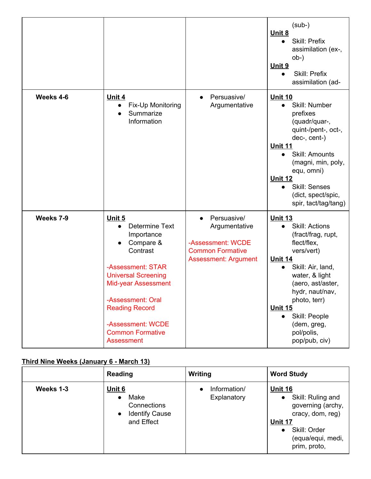|           |                                                                                                                                                                                                                                                                           |                                                                                                             | $(sub-)$<br>Unit 8<br>Skill: Prefix<br>assimilation (ex-,<br>$ob-)$<br>Unit 9<br>Skill: Prefix<br>assimilation (ad-                                                                                                                                                                    |
|-----------|---------------------------------------------------------------------------------------------------------------------------------------------------------------------------------------------------------------------------------------------------------------------------|-------------------------------------------------------------------------------------------------------------|----------------------------------------------------------------------------------------------------------------------------------------------------------------------------------------------------------------------------------------------------------------------------------------|
| Weeks 4-6 | Unit 4<br>Fix-Up Monitoring<br>Summarize<br>Information                                                                                                                                                                                                                   | Persuasive/<br>Argumentative                                                                                | <b>Unit 10</b><br>Skill: Number<br>prefixes<br>(quadr/quar-,<br>quint-/pent-, oct-,<br>dec-, cent-)<br><u>Unit 11</u><br>Skill: Amounts<br>$\bullet$<br>(magni, min, poly,<br>equ, omni)<br>Unit 12<br><b>Skill: Senses</b><br>$\bullet$<br>(dict, spect/spic,<br>spir, tact/tag/tang) |
| Weeks 7-9 | Unit 5<br>Determine Text<br>$\bullet$<br>Importance<br>Compare &<br>Contrast<br>-Assessment: STAR<br><b>Universal Screening</b><br>Mid-year Assessment<br>-Assessment: Oral<br><b>Reading Record</b><br>-Assessment: WCDE<br><b>Common Formative</b><br><b>Assessment</b> | Persuasive/<br>Argumentative<br>-Assessment: WCDE<br><b>Common Formative</b><br><b>Assessment: Argument</b> | <b>Unit 13</b><br><b>Skill: Actions</b><br>(fract/frag, rupt,<br>flect/flex,<br>vers/vert)<br>Unit 14<br>Skill: Air, land,<br>water, & light<br>(aero, ast/aster,<br>hydr, naut/nav,<br>photo, terr)<br><b>Unit 15</b><br>Skill: People<br>(dem, greg,<br>pol/polis,<br>pop/pub, civ)  |

# **Third Nine Weeks (January 6 - March 13)**

|           | Reading                                                                                               | Writing                     | <b>Word Study</b>                                                                                                                                         |
|-----------|-------------------------------------------------------------------------------------------------------|-----------------------------|-----------------------------------------------------------------------------------------------------------------------------------------------------------|
| Weeks 1-3 | <u>Unit 6</u><br>Make<br>$\bullet$<br>Connections<br><b>Identify Cause</b><br>$\bullet$<br>and Effect | Information/<br>Explanatory | <b>Unit 16</b><br>Skill: Ruling and<br>$\bullet$<br>governing (archy,<br>cracy, dom, reg)<br>Unit 17<br>Skill: Order<br>(equa/equi, medi,<br>prim, proto, |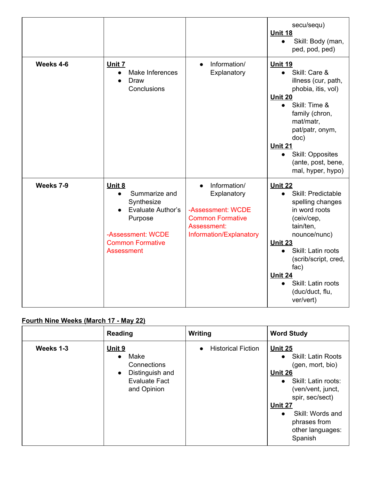|           |                                                                                                                                                         |                                                                                                                                    | secu/sequ)<br>Unit 18<br>Skill: Body (man,<br>$\bullet$<br>ped, pod, ped)                                                                                                                                                                                                                     |
|-----------|---------------------------------------------------------------------------------------------------------------------------------------------------------|------------------------------------------------------------------------------------------------------------------------------------|-----------------------------------------------------------------------------------------------------------------------------------------------------------------------------------------------------------------------------------------------------------------------------------------------|
| Weeks 4-6 | Unit 7<br>Make Inferences<br>$\bullet$<br>Draw<br>Conclusions                                                                                           | Information/<br>$\bullet$<br>Explanatory                                                                                           | <b>Unit 19</b><br>Skill: Care &<br>$\bullet$<br>illness (cur, path,<br>phobia, itis, vol)<br>Unit 20<br>Skill: Time &<br>$\bullet$<br>family (chron,<br>mat/matr,<br>pat/patr, onym,<br>doc)<br>Unit 21<br>Skill: Opposites<br>$\bullet$<br>(ante, post, bene,<br>mal, hyper, hypo)           |
| Weeks 7-9 | Unit 8<br>Summarize and<br>$\bullet$<br>Synthesize<br>Evaluate Author's<br>Purpose<br>-Assessment: WCDE<br><b>Common Formative</b><br><b>Assessment</b> | Information/<br>$\bullet$<br>Explanatory<br>-Assessment: WCDE<br><b>Common Formative</b><br>Assessment:<br>Information/Explanatory | <b>Unit 22</b><br>Skill: Predictable<br>$\bullet$<br>spelling changes<br>in word roots<br>(ceiv/cep,<br>tain/ten,<br>nounce/nunc)<br>Unit 23<br>Skill: Latin roots<br>$\bullet$<br>(scrib/script, cred,<br>fac)<br>Unit 24<br>Skill: Latin roots<br>$\bullet$<br>(duc/duct, flu,<br>ver/vert) |

# **Fourth Nine Weeks (March 17 - May 22)**

|           | Reading                                                                                                                  | Writing                                | <b>Word Study</b>                                                                                                                                                                                                                            |
|-----------|--------------------------------------------------------------------------------------------------------------------------|----------------------------------------|----------------------------------------------------------------------------------------------------------------------------------------------------------------------------------------------------------------------------------------------|
| Weeks 1-3 | <u>Unit 9</u><br>Make<br>$\bullet$<br>Connections<br>Distinguish and<br>$\bullet$<br><b>Evaluate Fact</b><br>and Opinion | <b>Historical Fiction</b><br>$\bullet$ | Unit 25<br><b>Skill: Latin Roots</b><br>$\bullet$<br>(gen, mort, bio)<br>Unit 26<br>• Skill: Latin roots:<br>(ven/vent, junct,<br>spir, sec/sect)<br>Unit 27<br>Skill: Words and<br>$\bullet$<br>phrases from<br>other languages:<br>Spanish |